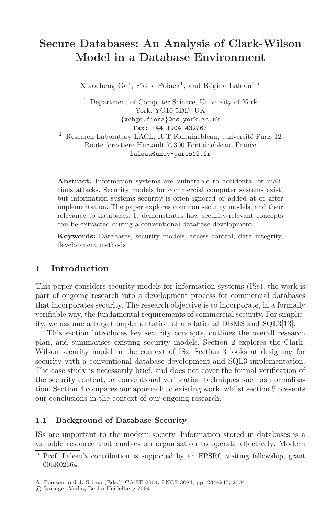# **Secure Databases: An Analysis of Clark-Wilson Model in a Database Environment**

Xiaocheng Ge<sup>1</sup>, Fiona Polack<sup>1</sup>, and Régine Laleau<sup>2,\*</sup>

<sup>1</sup> Department of Computer Science, University of York York, YO10 5DD, UK  ${xchge, fiona}$ @cs.york.ac.uk<br>Fax:  $+44$  1904 432767  $F<sup>2</sup>$  Research Laboratory LACL, IUT Fontainebleau, Université Paris 12 Route forestière Hurtault 77300 Fontainebleau, France

**Abstract.** Information systems are vulnerable to accidental or malicious attacks. Security models for commercial computer systems exist, but information systems security is often ignored or added at or after implementation. The paper explores common security models, and their relevance to databases. It demonstrates how security-relevant concepts can be extracted during a conventional database development.

 $\overline{p}$ 

**Keywords:** Databases, security models, access control, data integrity, development methods

# **1 Introduction**

This paper considers security models for information systems (ISs); the work is part of ongoing research into a development process for commercial databases that incorporates security. The research objective is to incorporate, in a formally verifiable way, the fundamental requirements of commercial security. For simplicity, we assume a target implementation of a relational DBMS and SQL3[13].

This section introduces key security concepts, outlines the overall research plan, and summarises existing security models. Section 2 explores the Clark-Wilson security model in the context of ISs. Section 3 looks at designing for security with a conventional database development and SQL3 implementation. The case study is necessarily brief, and does not cover the formal verification of the security content, or conventional verification techniques such as normalisation. Section 4 compares our approach to existing work, whilst section 5 presents our conclusions in the context of our ongoing research.

### **1.1 Background of Database Security**

ISs are important to the modern society. Information stored in databases is a valuable resource that enables an organisation to operate effectively. Modern

Prof. Laleau's contribution is supported by an EPSRC visiting fellowship, grant 006R02664.

A. Persson and J. Stirna (Eds.): CAiSE 2004, LNCS 3084, pp. 234–247, 2004.

c Springer-Verlag Berlin Heidelberg 2004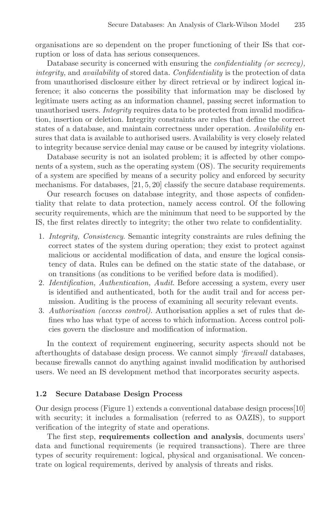organisations are so dependent on the proper functioning of their ISs that corruption or loss of data has serious consequences.

Database security is concerned with ensuring the *confidentiality (or secrecy), integrity,* and *availability* of stored data. *Confidentiality* is the protection of data from unauthorised disclosure either by direct retrieval or by indirect logical inference; it also concerns the possibility that information may be disclosed by legitimate users acting as an information channel, passing secret information to unauthorised users. *Integrity* requires data to be protected from invalid modification, insertion or deletion. Integrity constraints are rules that define the correct states of a database, and maintain correctness under operation. *Availability* ensures that data is available to authorised users. Availability is very closely related to integrity because service denial may cause or be caused by integrity violations.

Database security is not an isolated problem; it is affected by other components of a system, such as the operating system (OS). The security requirements of a system are specified by means of a security policy and enforced by security mechanisms. For databases, [21, 5, 20] classify the secure database requirements.

Our research focuses on database integrity, and those aspects of confidentiality that relate to data protection, namely access control. Of the following security requirements, which are the minimum that need to be supported by the IS, the first relates directly to integrity; the other two relate to confidentiality.

- 1. *Integrity, Consistency*. Semantic integrity constraints are rules defining the correct states of the system during operation; they exist to protect against malicious or accidental modification of data, and ensure the logical consistency of data. Rules can be defined on the static state of the database, or on transitions (as conditions to be verified before data is modified).
- 2. *Identification, Authentication, Audit*. Before accessing a system, every user is identified and authenticated, both for the audit trail and for access permission. Auditing is the process of examining all security relevant events.
- 3. *Authorisation (access control)*. Authorisation applies a set of rules that defines who has what type of access to which information. Access control policies govern the disclosure and modification of information.

In the context of requirement engineering, security aspects should not be afterthoughts of database design process. We cannot simply *'firewall* databases, because firewalls cannot do anything against invalid modification by authorised users. We need an IS development method that incorporates security aspects.

### **1.2 Secure Database Design Process**

Our design process (Figure 1) extends a conventional database design process[10] with security; it includes a formalisation (referred to as OAZIS), to support verification of the integrity of state and operations.

The first step, **requirements collection and analysis**, documents users' data and functional requirements (ie required transactions). There are three types of security requirement: logical, physical and organisational. We concentrate on logical requirements, derived by analysis of threats and risks.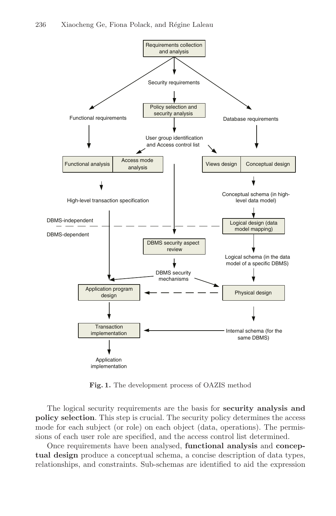

**Fig. 1.** The development process of OAZIS method

The logical security requirements are the basis for **security analysis and policy selection**. This step is crucial. The security policy determines the access mode for each subject (or role) on each object (data, operations). The permissions of each user role are specified, and the access control list determined.

Once requirements have been analysed, **functional analysis** and **conceptual design** produce a conceptual schema, a concise description of data types, relationships, and constraints. Sub-schemas are identified to aid the expression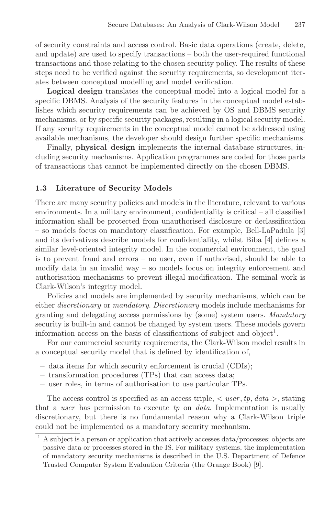of security constraints and access control. Basic data operations (create, delete, and update) are used to specify transactions – both the user-required functional transactions and those relating to the chosen security policy. The results of these steps need to be verified against the security requirements, so development iterates between conceptual modelling and model verification.

**Logical design** translates the conceptual model into a logical model for a specific DBMS. Analysis of the security features in the conceptual model establishes which security requirements can be achieved by OS and DBMS security mechanisms, or by specific security packages, resulting in a logical security model. If any security requirements in the conceptual model cannot be addressed using available mechanisms, the developer should design further specific mechanisms.

Finally, **physical design** implements the internal database structures, including security mechanisms. Application programmes are coded for those parts of transactions that cannot be implemented directly on the chosen DBMS.

### **1.3 Literature of Security Models**

There are many security policies and models in the literature, relevant to various environments. In a military environment, confidentiality is critical – all classified information shall be protected from unauthorised disclosure or declassification – so models focus on mandatory classification. For example, Bell-LaPadula [3] and its derivatives describe models for confidentiality, whilst Biba [4] defines a similar level-oriented integrity model. In the commercial environment, the goal is to prevent fraud and errors – no user, even if authorised, should be able to modify data in an invalid way – so models focus on integrity enforcement and authorisation mechanisms to prevent illegal modification. The seminal work is Clark-Wilson's integrity model.

Policies and models are implemented by security mechanisms, which can be either *discretionary* or *mandatory*. *Discretionary* models include mechanisms for granting and delegating access permissions by (some) system users. *Mandatory* security is built-in and cannot be changed by system users. These models govern information access on the basis of classifications of subject and object<sup>1</sup>.

For our commercial security requirements, the Clark-Wilson model results in a conceptual security model that is defined by identification of,

- **–** data items for which security enforcement is crucial (CDIs);
- **–** transformation procedures (TPs) that can access data;
- **–** user roles, in terms of authorisation to use particular TPs.

The access control is specified as an access triple, < *user* , *tp*, *data* >, stating that a *user* has permission to execute *tp* on *data*. Implementation is usually discretionary, but there is no fundamental reason why a Clark-Wilson triple could not be implemented as a mandatory security mechanism.

<sup>1</sup> A subject is a person or application that actively accesses data/processes; objects are passive data or processes stored in the IS. For military systems, the implementation of mandatory security mechanisms is described in the U.S. Department of Defence Trusted Computer System Evaluation Criteria (the Orange Book) [9].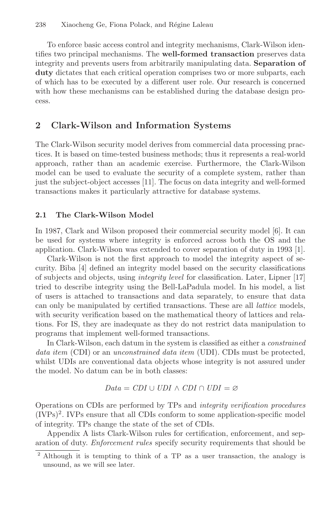To enforce basic access control and integrity mechanisms, Clark-Wilson identifies two principal mechanisms. The **well-formed transaction** preserves data integrity and prevents users from arbitrarily manipulating data. **Separation of duty** dictates that each critical operation comprises two or more subparts, each of which has to be executed by a different user role. Our research is concerned with how these mechanisms can be established during the database design process.

# **2 Clark-Wilson and Information Systems**

The Clark-Wilson security model derives from commercial data processing practices. It is based on time-tested business methods; thus it represents a real-world approach, rather than an academic exercise. Furthermore, the Clark-Wilson model can be used to evaluate the security of a complete system, rather than just the subject-object accesses [11]. The focus on data integrity and well-formed transactions makes it particularly attractive for database systems.

### **2.1 The Clark-Wilson Model**

In 1987, Clark and Wilson proposed their commercial security model [6]. It can be used for systems where integrity is enforced across both the OS and the application. Clark-Wilson was extended to cover separation of duty in 1993 [1].

Clark-Wilson is not the first approach to model the integrity aspect of security. Biba [4] defined an integrity model based on the security classifications of subjects and objects, using *integrity level* for classification. Later, Lipner [17] tried to describe integrity using the Bell-LaPadula model. In his model, a list of users is attached to transactions and data separately, to ensure that data can only be manipulated by certified transactions. These are all *lattice* models, with security verification based on the mathematical theory of lattices and relations. For IS, they are inadequate as they do not restrict data manipulation to programs that implement well-formed transactions.

In Clark-Wilson, each datum in the system is classified as either a *constrained data item* (CDI) or an *unconstrained data item* (UDI). CDIs must be protected, whilst UDIs are conventional data objects whose integrity is not assured under the model. No datum can be in both classes:

$$
Data = CDI \cup UDI \land CDI \cap UDI = \varnothing
$$

Operations on CDIs are performed by TPs and *integrity verification procedures*  $(IVPs)^2$ . IVPs ensure that all CDIs conform to some application-specific model of integrity. TPs change the state of the set of CDIs.

Appendix A lists Clark-Wilson rules for certification, enforcement, and separation of duty. *Enforcement rules* specify security requirements that should be

<sup>2</sup> Although it is tempting to think of a TP as a user transaction, the analogy is unsound, as we will see later.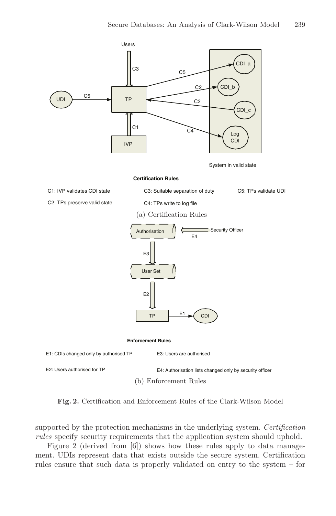

System in valid state

#### **Certification Rules**

C1: IVP validates CDI state

C3: Suitable separation of duty

C5: TPs validate UDI

C2: TPs preserve valid state C4: TPs write to log file

(a) Certification Rules



**Enforcement Rules**

E1: CDIs changed only by authorised TP

E3: Users are authorised

E2: Users authorised for TP

E4: Authorisation lists changed only by security officer

(b) Enforcement Rules

**Fig. 2.** Certification and Enforcement Rules of the Clark-Wilson Model

supported by the protection mechanisms in the underlying system. *Certification rules* specify security requirements that the application system should uphold.

Figure 2 (derived from [6]) shows how these rules apply to data management. UDIs represent data that exists outside the secure system. Certification rules ensure that such data is properly validated on entry to the system – for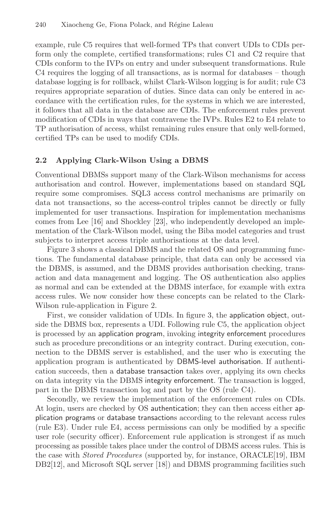example, rule C5 requires that well-formed TPs that convert UDIs to CDIs perform only the complete, certified transformations; rules C1 and C2 require that CDIs conform to the IVPs on entry and under subsequent transformations. Rule C4 requires the logging of all transactions, as is normal for databases – though database logging is for rollback, whilst Clark-Wilson logging is for audit; rule C3 requires appropriate separation of duties. Since data can only be entered in accordance with the certification rules, for the systems in which we are interested, it follows that all data in the database are CDIs. The enforcement rules prevent modification of CDIs in ways that contravene the IVPs. Rules E2 to E4 relate to TP authorisation of access, whilst remaining rules ensure that only well-formed, certified TPs can be used to modify CDIs.

## **2.2 Applying Clark-Wilson Using a DBMS**

Conventional DBMSs support many of the Clark-Wilson mechanisms for access authorisation and control. However, implementations based on standard SQL require some compromises. SQL3 access control mechanisms are primarily on data not transactions, so the access-control triples cannot be directly or fully implemented for user transactions. Inspiration for implementation mechanisms comes from Lee [16] and Shockley [23], who independently developed an implementation of the Clark-Wilson model, using the Biba model categories and trust subjects to interpret access triple authorisations at the data level.

Figure 3 shows a classical DBMS and the related OS and programming functions. The fundamental database principle, that data can only be accessed via the DBMS, is assumed, and the DBMS provides authorisation checking, transaction and data management and logging. The OS authentication also applies as normal and can be extended at the DBMS interface, for example with extra access rules. We now consider how these concepts can be related to the Clark-Wilson rule-application in Figure 2.

First, we consider validation of UDIs. In figure 3, the application object, outside the DBMS box, represents a UDI. Following rule C5, the application object is processed by an application program, invoking integrity enforcement procedures such as procedure preconditions or an integrity contract. During execution, connection to the DBMS server is established, and the user who is executing the application program is authenticated by DBMS-level authorisation. If authentication succeeds, then a database transaction takes over, applying its own checks on data integrity via the DBMS integrity enforcement. The transaction is logged, part in the DBMS transaction log and part by the OS (rule C4).

Secondly, we review the implementation of the enforcement rules on CDIs. At login, users are checked by OS authentication; they can then access either application programs or database transactions according to the relevant access rules (rule E3). Under rule E4, access permissions can only be modified by a specific user role (security officer). Enforcement rule application is strongest if as much processing as possible takes place under the control of DBMS access rules. This is the case with *Stored Procedures* (supported by, for instance, ORACLE[19], IBM DB2[12], and Microsoft SQL server [18]) and DBMS programming facilities such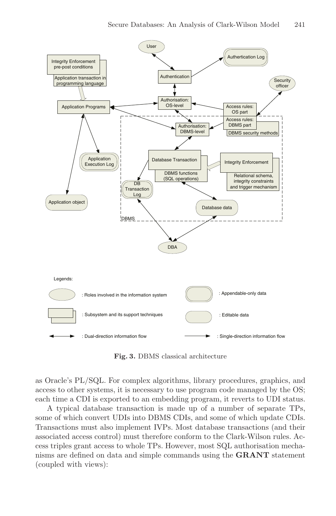

**Fig. 3.** DBMS classical architecture

as Oracle's PL/SQL. For complex algorithms, library procedures, graphics, and access to other systems, it is necessary to use program code managed by the OS; each time a CDI is exported to an embedding program, it reverts to UDI status.

A typical database transaction is made up of a number of separate TPs, some of which convert UDIs into DBMS CDIs, and some of which update CDIs. Transactions must also implement IVPs. Most database transactions (and their associated access control) must therefore conform to the Clark-Wilson rules. Access triples grant access to whole TPs. However, most SQL authorisation mechanisms are defined on data and simple commands using the **GRANT** statement (coupled with views):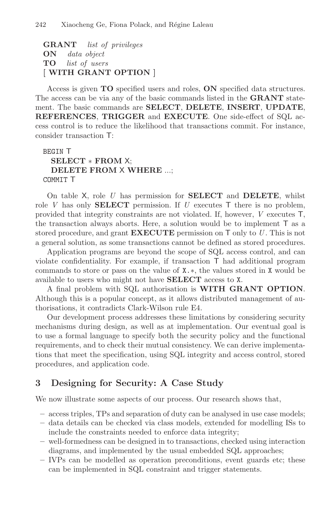**GRANT** *list of privileges* **ON** *data object* **TO** *list of users* **[ WITH GRANT OPTION ]**

Access is given **TO** specified users and roles, **ON** specified data structures. The access can be via any of the basic commands listed in the **GRANT** statement. The basic commands are **SELECT**, **DELETE**, **INSERT**, **UPDATE**, **REFERENCES**, **TRIGGER** and **EXECUTE**. One side-effect of SQL access control is to reduce the likelihood that transactions commit. For instance, consider transaction T:

BEGIN T **SELECT** ∗ **FROM** X; **DELETE FROM** X **WHERE** ...; COMMIT T

On table X, role *U* has permission for **SELECT** and **DELETE**, whilst role *V* has only **SELECT** permission. If *U* executes  $\mathsf{T}$  there is no problem, provided that integrity constraints are not violated. If, however, *V* executes T, the transaction always aborts. Here, a solution would be to implement T as a stored procedure, and grant **EXECUTE** permission on T only to *U* . This is not a general solution, as some transactions cannot be defined as stored procedures.

Application programs are beyond the scope of SQL access control, and can violate confidentiality. For example, if transaction T had additional program commands to store or pass on the value of X.∗, the values stored in X would be available to users who might not have **SELECT** access to X.

A final problem with SQL authorisation is **WITH GRANT OPTION**. Although this is a popular concept, as it allows distributed management of authorisations, it contradicts Clark-Wilson rule E4.

Our development process addresses these limitations by considering security mechanisms during design, as well as at implementation. Our eventual goal is to use a formal language to specify both the security policy and the functional requirements, and to check their mutual consistency. We can derive implementations that meet the specification, using SQL integrity and access control, stored procedures, and application code.

# **3 Designing for Security: A Case Study**

We now illustrate some aspects of our process. Our research shows that,

- **–** access triples, TPs and separation of duty can be analysed in use case models;
- **–** data details can be checked via class models, extended for modelling ISs to include the constraints needed to enforce data integrity;
- **–** well-formedness can be designed in to transactions, checked using interaction diagrams, and implemented by the usual embedded SQL approaches;
- **–** IVPs can be modelled as operation preconditions, event guards etc; these can be implemented in SQL constraint and trigger statements.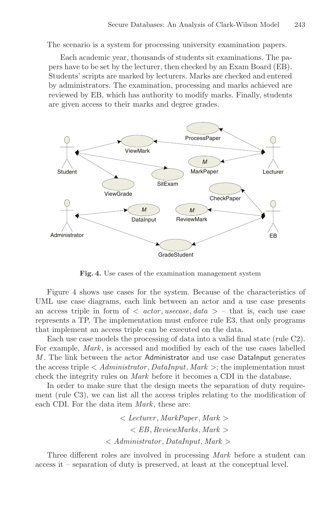The scenario is a system for processing university examination papers.

Each academic year, thousands of students sit examinations. The papers have to be set by the lecturer, then checked by an Exam Board (EB). Students' scripts are marked by lecturers. Marks are checked and entered by administrators. The examination, processing and marks achieved are reviewed by EB, which has authority to modify marks. Finally, students are given access to their marks and degree grades.



**Fig. 4.** Use cases of the examination management system

Figure 4 shows use cases for the system. Because of the characteristics of UML use case diagrams, each link between an actor and a use case presents an access triple in form of < *actor* , *usecase*, *data* > – that is, each use case represents a TP. The implementation must enforce rule E3, that only programs that implement an access triple can be executed on the data.

Each use case models the processing of data into a valid final state (rule C2). For example, *Mark*, is accessed and modified by each of the use cases labelled *M*. The link between the actor Administrator and use case DataInput generates the access triple < *Administrator* , *DataInput*, *Mark* >; the implementation must check the integrity rules on *Mark* before it becomes a CDI in the database.

In order to make sure that the design meets the separation of duty requirement (rule C3), we can list all the access triples relating to the modification of each CDI. For the data item *Mark*, these are:

> < *Lecturer* , *MarkPaper* , *Mark* > < *EB*, *ReviewMarks*, *Mark* > < *Administrator* , *DataInput*, *Mark* >

Three different roles are involved in processing *Mark* before a student can access it – separation of duty is preserved, at least at the conceptual level.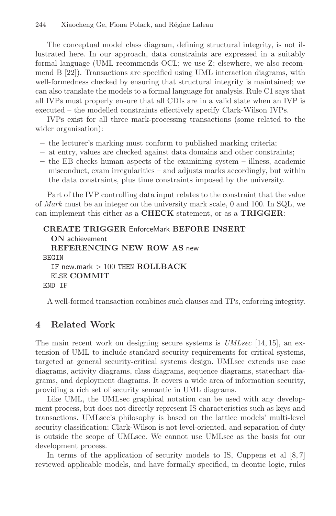The conceptual model class diagram, defining structural integrity, is not illustrated here. In our approach, data constraints are expressed in a suitably formal language (UML recommends OCL; we use Z; elsewhere, we also recommend B [22]). Transactions are specified using UML interaction diagrams, with well-formedness checked by ensuring that structural integrity is maintained; we can also translate the models to a formal language for analysis. Rule C1 says that all IVPs must properly ensure that all CDIs are in a valid state when an IVP is executed – the modelled constraints effectively specify Clark-Wilson IVPs.

IVPs exist for all three mark-processing transactions (some related to the wider organisation):

- **–** the lecturer's marking must conform to published marking criteria;
- **–** at entry, values are checked against data domains and other constraints;
- **–** the EB checks human aspects of the examining system illness, academic misconduct, exam irregularities – and adjusts marks accordingly, but within the data constraints, plus time constraints imposed by the university.

Part of the IVP controlling data input relates to the constraint that the value of *Mark* must be an integer on the university mark scale, 0 and 100. In SQL, we can implement this either as a **CHECK** statement, or as a **TRIGGER**:

```
CREATE TRIGGER EnforceMark BEFORE INSERT
 ON achievement
 REFERENCING NEW ROW AS new
BEGIN
 IF new.mark > 100 THEN ROLLBACK
 ELSE COMMIT
END IF
```
A well-formed transaction combines such clauses and TPs, enforcing integrity.

# **4 Related Work**

The main recent work on designing secure systems is *UMLsec* [14, 15], an extension of UML to include standard security requirements for critical systems, targeted at general security-critical systems design. UMLsec extends use case diagrams, activity diagrams, class diagrams, sequence diagrams, statechart diagrams, and deployment diagrams. It covers a wide area of information security, providing a rich set of security semantic in UML diagrams.

Like UML, the UMLsec graphical notation can be used with any development process, but does not directly represent IS characteristics such as keys and transactions. UMLsec's philosophy is based on the lattice models' multi-level security classification; Clark-Wilson is not level-oriented, and separation of duty is outside the scope of UMLsec. We cannot use UMLsec as the basis for our development process.

In terms of the application of security models to IS, Cuppens et al  $[8, 7]$ reviewed applicable models, and have formally specified, in deontic logic, rules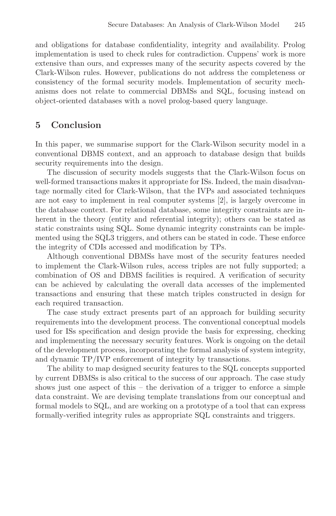and obligations for database confidentiality, integrity and availability. Prolog implementation is used to check rules for contradiction. Cuppens' work is more extensive than ours, and expresses many of the security aspects covered by the Clark-Wilson rules. However, publications do not address the completeness or consistency of the formal security models. Implementation of security mechanisms does not relate to commercial DBMSs and SQL, focusing instead on object-oriented databases with a novel prolog-based query language.

### **5 Conclusion**

In this paper, we summarise support for the Clark-Wilson security model in a conventional DBMS context, and an approach to database design that builds security requirements into the design.

The discussion of security models suggests that the Clark-Wilson focus on well-formed transactions makes it appropriate for ISs. Indeed, the main disadvantage normally cited for Clark-Wilson, that the IVPs and associated techniques are not easy to implement in real computer systems [2], is largely overcome in the database context. For relational database, some integrity constraints are inherent in the theory (entity and referential integrity); others can be stated as static constraints using SQL. Some dynamic integrity constraints can be implemented using the SQL3 triggers, and others can be stated in code. These enforce the integrity of CDIs accessed and modification by TPs.

Although conventional DBMSs have most of the security features needed to implement the Clark-Wilson rules, access triples are not fully supported; a combination of OS and DBMS facilities is required. A verification of security can be achieved by calculating the overall data accesses of the implemented transactions and ensuring that these match triples constructed in design for each required transaction.

The case study extract presents part of an approach for building security requirements into the development process. The conventional conceptual models used for ISs specification and design provide the basis for expressing, checking and implementing the necessary security features. Work is ongoing on the detail of the development process, incorporating the formal analysis of system integrity, and dynamic TP/IVP enforcement of integrity by transactions.

The ability to map designed security features to the SQL concepts supported by current DBMSs is also critical to the success of our approach. The case study shows just one aspect of this – the derivation of a trigger to enforce a simple data constraint. We are devising template translations from our conceptual and formal models to SQL, and are working on a prototype of a tool that can express formally-verified integrity rules as appropriate SQL constraints and triggers.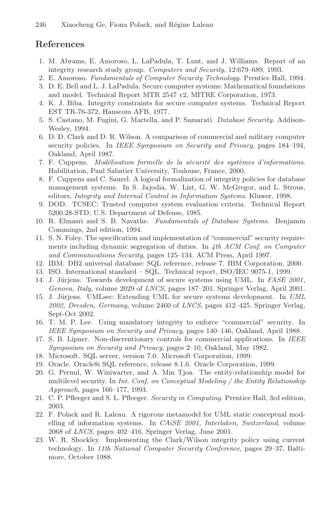# **References**

- 1. M. Abrams, E. Amoroso, L. LaPadula, T. Lunt, and J. Williams. Report of an integrity research study group. Computers and Security, 12:679–689, 1993.
- 2. E. Amoroso. Fundamentals of Computer Security Technology. Prentice Hall, 1994.
- 3. D. E. Bell and L. J. LaPadula. Secure computer systems: Mathematical foundations and model. Technical Report MTR 2547 v2, MITRE Corporation, 1973.
- 4. K. J. Biba. Integrity constraints for secure computer systems. Technical Report EST TR-76-372, Hanscom AFB, 1977.
- 5. S. Castano, M. Fugini, G. Martella, and P. Samarati. Database Security. Addison-Wesley, 1994.
- 6. D. D. Clark and D. R. Wilson. A comparison of commercial and military computer security policies. In *IEEE Symposium on Security and Privacy*, pages 184–194, Oakland, April 1987.
- 7. F. Cuppens. Modélisation formelle de la sécurité des systèmes d'informations. Habilitation, Paul Sabatier University, Toulouse, France, 2000.
- 8. F. Cuppens and C. Saurel. A logical formalization of integrity policies for database management systems. In S. Jajodia, W. List, G. W. McGregor, and L. Strous, editors, Integrity and Internal Control in Information Systems. Kluwer, 1998.
- 9. DOD. TCSEC: Trusted computer system evaluation criteria. Technical Report 5200.28-STD, U.S. Department of Defense, 1985.
- 10. R. Elmasri and S. B. Navathe. Fundamentals of Database Systems. Benjamin Commings, 2nd edition, 1994.
- 11. S. N. Foley. The specification and implementation of "commercial" security requirements including dynamic segregation of duties. In  $4th$  ACM Conf. on Computer and Communications Security, pages 125–134. ACM Press, April 1997.
- 12. IBM. DB2 universal database: SQL reference, release 7. IBM Corporation, 2000.
- 13. ISO. International standard SQL. Technical report, ISO/IEC 9075-1, 1999.
- 14. J. Jürjens. Towards development of secure systems using UML. In FASE 2001, Genova, Italy, volume 2029 of LNCS, pages 187–201. Springer Verlag, April 2001.
- 15. J. Jürjens. UMLsec: Extending UML for secure systems development. In UML 2002, Dresden, Germany, volume 2460 of LNCS, pages 412–425. Springer Verlag, Sept-Oct 2002.
- 16. T. M. P. Lee. Using mandatory integrity to enforce "commercial" security. In IEEE Symposium on Security and Privacy, pages 140–146, Oakland, April 1988.
- 17. S. B. Lipner. Non-discrentionary controls for commercial applications. In IEEE Symposium on Security and Privacy, pages 2–10, Oakland, May 1982.
- 18. Microsoft. SQL server, version 7.0. Microsoft Corporation, 1999.
- 19. Oracle. Oracle8i SQL reference, release 8.1.6. Oracle Corporation, 1999.
- 20. G. Pernul, W. Winiwarter, and A. Min Tjoa. The entity-relationship model for multilevel security. In Int. Conf. on Conceptual Modeling / the Entity Relationship Approach, pages 166–177, 1993.
- 21. C. P. Pfleeger and S. L. Pfleeger. Security in Computing. Prentice Hall, 3rd edition, 2003.
- 22. F. Polack and R. Laleau. A rigorous metamodel for UML static conceptual modelling of information systems. In CAiSE 2001, Interlaken, Switzerland, volume 2068 of LNCS, pages 402–416. Springer Verlag, June 2001.
- 23. W. R. Shockley. Implementing the Clark/Wilson integrity policy using current technology. In 11th National Computer Security Conference, pages 29–37, Baltimore, October 1988.